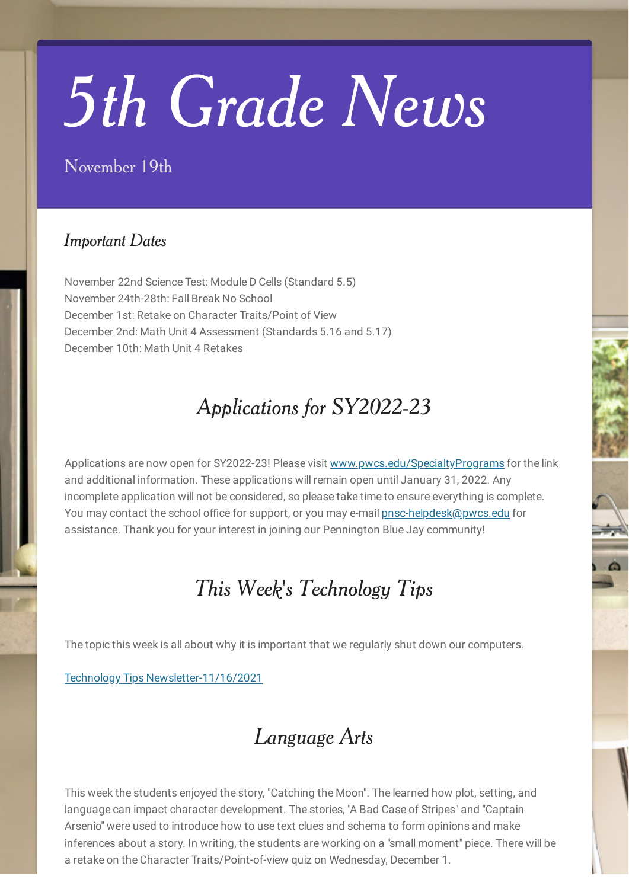# *5th Grade News*

#### November 19th

#### *Important Dates*

November 22nd Science Test: Module D Cells (Standard 5.5) November 24th-28th: Fall Break No School December 1st: Retake on Character Traits/Point of View December 2nd: Math Unit 4 Assessment (Standards 5.16 and 5.17) December 10th: Math Unit 4 Retakes

## *Applications for SY2022-23*

Applications are now open for SY2022-23! Please visit [www.pwcs.edu/SpecialtyPrograms](http://www.pwcs.edu/SpecialtyPrograms) for the link and additional information. These applications will remain open until January 31, 2022. Any incomplete application will not be considered, so please take time to ensure everything is complete. You may contact the school office for support, or you may e-mail [pnsc-helpdesk@pwcs.edu](mailto:pnsc-helpdesk@pwcs.edu) for assistance. Thank you for your interest in joining our Pennington Blue Jay community!

#### *This Week' s Technology Tips*

The topic this week is all about why it is important that we regularly shut down our computers.

Technology Tips [Newsletter-11/16/2021](https://www.smore.com/ygrct)

## *Language Arts*

This week the students enjoyed the story, "Catching the Moon". The learned how plot, setting, and language can impact character development. The stories, "A Bad Case of Stripes" and "Captain Arsenio" were used to introduce how to use text clues and schema to form opinions and make inferences about a story. In writing, the students are working on a "small moment" piece. There will be a retake on the Character Traits/Point-of-view quiz on Wednesday, December 1.